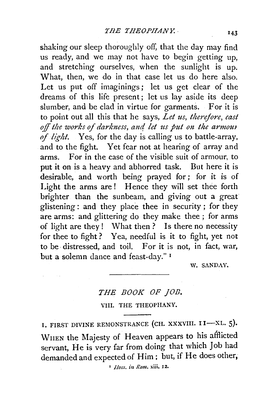shaking our sleep thoroughly off, that the day may find us ready, and we may not have to begin getting up, and stretching ourselves, when the sunlight is up. What, then, we do in that case let us do here also. Let us put off imaginings; let us get clear of the dreams of this life present; let us lay aside its deep slumber, and be clad in virtue for garments. For it is to point out all this that he says, *Let us, therefore, cast*  off the works of darkness, and let us put on the armour *of light.* Yes, for the day is calling us to battle-array, and to the fight. Yet fear not at hearing of array and arms. For in the case of the visible suit of armour, to put it on is a heavy and abhorred task. But here it is desirable, and worth being prayed for; for it is of Light the arms are! Hence they will set thee forth brighter than the sunbeam, and giving out a great glistening: and they place thee in security ; for they are arms: and glittering do they make thee ; for arms of light are they ! What then ? Is there no necessity for thee to fight? Yea, needful is it to fight, yet not to be· distressed, and toil. For it is not, in fact, war, but a solemn dance and feast-day." 1

W. SANDAY.

## *THE BOOK OF fOE.*

#### VIII. THE THEOPHANY.

I. FIRST DIVINE REMONSTRANCE (CH. XXXVIII. II-XL. 5). \VnEN the Majesty of Heaven appears to his afflicted servant, He is very far from doing that which Job had demanded and expected of Him; but, if He does other,

 $\blacksquare$ *Ilom, in Rom, xiii.* 12.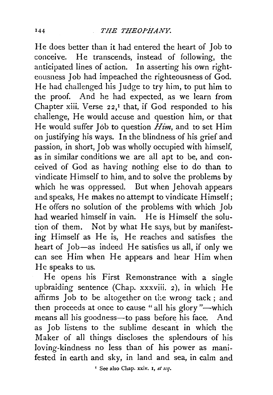He does better than it had entered the heart of Job to conceive. He transcends, instead of following, the anticipated lines of action. In asserting his own righteousness Job had impeached the righteousness of God. He had challenged his Judge to try him, to put him to the proof. And he had expected, as we learn from Chapter xiii. Verse  $22$ ,<sup> $I$ </sup> that, if God responded to his challenge, He would accuse and question him, or that He would suffer Job to question *Him,* and to set Him on justifying his ways. In the blindness of his grief and passion, in short, Job was wholly occupied with himself, as in similar conditions we are all apt to be, and conceived of God as having nothing else to do than to vindicate Himself to him, and to solve the problems by which he was oppressed. But when Jehovah appears and speaks, He makes no attempt to vindicate Himself; He offers no solution of the problems with which Job had wearied himself in vain. He is Himself the solution of them. Not by what He says, but by manifesting Himself as He is, He reaches and satisfies the heart of Job-as indeed He satisfies us all, if only we can see Him when He appears and hear Him when He speaks to us.

He opens his First Remonstrance with a single upbraiding sentence (Chap. xxxviii. 2), in which He affirms Job to be altogether on the wrong tack; and then proceeds at once to cause " all his glory "-which means all his goodness-to pass before his face. And as Job listens to the sublime descant in which the Maker of all things discloses the splendours of his loving-kindness no less than of his power as manifested in earth and sky, in land and sea, in calm and

' See also Chap. xxiv. I, *et scq.*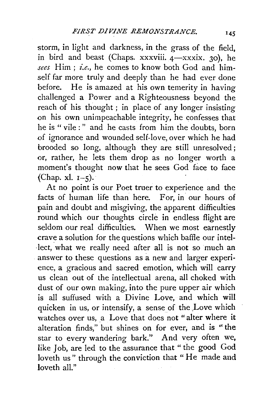storm, in light and darkness, in the grass of the field, in bird and beast (Chaps. xxxviii.  $4-xx$ xxix. 30), he *sees* Him; *i.e.,* he comes to know both God and himself far more truly and deeply than he had ever done before. He is amazed at his own temerity in having challenged a Power and a Righteousness beyond the reach of his thought ; in place of any longer insisting on his own unimpeachable integrity, he confesses that he is " vile : " and he casts from him the doubts, born of ignorance and wounded self-love, over which he had brooded so long, although they are still unresolved; or, rather, he lets them drop as no longer worth a moment's thought now that he sees God face to face (Chap. xl.  $I-\xi$ ).

At no point is our Poet truer to experience and the facts of human life than here. For, in our hours of pain and doubt and misgiving, the apparent difficulties round which our thoughts circle in endless flight are seldom our real difficulties. When we most earnestly crave a solution for the questions which baffle our intel lect, what we really need after all is not so much an answer to these questions as a new and larger experience, a gracious and sacred emotion, which will carry us clean out of the intellectual arena, all choked with dust of our own making, into the pure upper air which is all suffused with a Divine Love, and which will quicken in us, or intensify, a sense of the Love which watches over us, a Love that does not "alter where it alteration finds," but shines on for ever, and is "the star to every wandering bark." And very often we, like Job, are led to the assurance that " the good God loveth us" through the conviction that "He made and loveth all."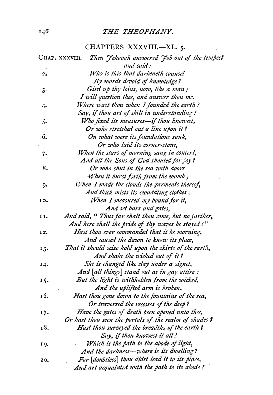#### <sup>140</sup> THE THEOPHANY.

## CHAPTERS XXXVIII.-XL. 5.

|     | Then Jehovah answered Job out of the tempest<br>Chap. xxxviil |
|-----|---------------------------------------------------------------|
|     | and said:                                                     |
| 2.  | Who is this that darkeneth counsel                            |
|     | By words devoid of knowledge?                                 |
| 3.  | Gird up thy loins, now, like a man;                           |
|     | I will question thee, and answer thou me.                     |
| 4.  | Where wast thou when I founded the earth?                     |
|     | Say, if thou art of skill in understanding!                   |
| 5.  | Who fixed its measures-if thou knowest,                       |
|     | Or who stretched out a line upon it?                          |
| 6.  | On what were its foundations sunk,                            |
|     | Or who laid its corner-stone,                                 |
| 7.  | When the stars of morning sang in concert,                    |
|     | And all the Sons of God shouted for joy?                      |
| 8.  | Or who shut in the sea with doors                             |
|     | When it burst forth from the womb;                            |
| 9.  | When I made the clouds the garments thereof,                  |
|     | And thick mists its swaddling clothes;                        |
| 10, | When I measured my bound for it,                              |
|     | And set bars and gates,                                       |
| 11. | And said, " Thus far shalt thou come, but no jarther,         |
|     | And here shall the pride of thy waves be stayed?"             |
| 12. | Hast thou ever commanded that it be morning,                  |
|     | And caused the dawn to know its place,                        |
| 13. | That it should seize hold upon the skirts of the earth,       |
|     | And shake the wicked out of it?                               |
| 14. | She is changed like clay under a signet,                      |
|     | And [all things] stand out as in gay attire;                  |
| 15. | But the light is withholden from the wicked,                  |
|     | And the uplifted arm is broken.                               |
| 16. | Hast thou gone down to the fountains of the sea,              |
|     | Or traversed the recesses of the deep?                        |
| 17. | Have the gates of death been opened unto thce,                |
|     | Or hast thou seen the portals of the realm of shades?         |
| 18. | Hast thou surveyed the breadths of the earth ?                |
|     | Say, if thou knowest it all!                                  |
| 19. | Which is the path to the abode of light,                      |
|     | And the darkness-where is its dwelling?                       |
| 20. | For [doubtless] thou didst lead it to its place,              |
|     | And art acquainted with the path to its abode!                |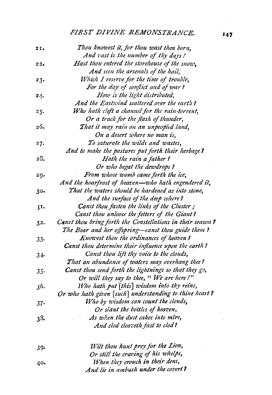# *FIRST DIVINE REMONSTRANCE.* **<sup>147</sup>**

| 21.    | Thou knowest it, for thou wast then born,                  |
|--------|------------------------------------------------------------|
|        | And vast is the number of thy days!                        |
| 22.    | Hast thou entered the storehouse of the snow,              |
|        | And seen the arsenals of the hail,                         |
| 23.    | Which I reserve for the time of trouble,                   |
|        | For the day of conflict and of war?                        |
| 24.    | How is the light distributed,                              |
|        | And the Eastwind scattered over the earth?                 |
| 25.    | Who hath cleft a channel for the rain-torrent,             |
|        | Or a track for the flash of thunder,                       |
| 26.    | That it may rain on an unpeopled land,                     |
|        | On a desert where no man is,                               |
| 27.    | To saturate the wilds and wastes,                          |
|        | And to make the pastures put forth their herbage?          |
| 28.    | Hath the rain a father?                                    |
|        | Or who begat the dewdrops?                                 |
| 29.    | From whose womb came forth the ice,                        |
|        | And the hoarfrost of heaven-who hath engendered it,        |
| 30.    | That the waters should be hardened as into stone,          |
|        | And the surface of the deep cohere?                        |
| 31.    | Canst thou fasten the links of the Cluster;                |
|        | Canst thou unloose the fetters of the Giant?               |
| 32.    | Canst thou bring forth the Constellations in their season? |
|        | The Bear and her offspring-canst thou guide them?          |
| $33-$  | Knowest thou the ordinances of heaven?                     |
|        | Canst thou determine their influence upon the earth?       |
| 34     | Canst thou lift thy voice to the clouds,                   |
|        | That an abundance of waters may overhang thee?             |
| $35 -$ | Canst thou send forth the lightnings so that they go,      |
|        | Or will they say to thee, "We are here!"                   |
| 36.    | Who hath put [this] wisdom into thy reins,                 |
|        | Or who hath given [such] understanding to thine heart?     |
| 37.    | Who by wisdom can count the clouds,                        |
|        | Or slant the bottles of heaven,                            |
| 38.    | As when the dust cakes into mire,                          |
|        | And clod cleaveth fast to clod?                            |
| 39.    | Wilt thou hunt prey for the Lion,                          |
|        | Or still the craving of his whelps,                        |
| 40.    | When they crouch in their dens,                            |

*And lie in ambush under the coz,ert?*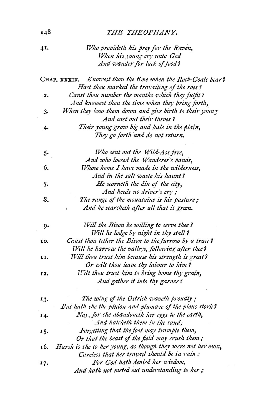## **148** *THE THEOPHANY.*

| 41. | Who provideth his prey for the Raven,                                                                        |
|-----|--------------------------------------------------------------------------------------------------------------|
|     | When his young cry unto God                                                                                  |
|     | And wander for lack of food?                                                                                 |
|     | CHAP. XXXIX. Knowest thou the time when the Rock-Goats bear?<br>Hast thou marked the travailing of the roes? |
| 2.  | Canst thou number the months which they fulfil?<br>And knowest thou the time when they bring forth,          |
| 3.  | When they bow them down and give birth to their young<br>And cast out their throes?                          |
| 4.  | Their young grow big and hale in the plain,<br>They go forth and do not return.                              |
| 5.  | Who sent out the Wild-Ass free,<br>And who loosed the Wanderer's banas,                                      |
| 6.  | Whose home I have made in the wilderness,<br>And in the salt waste his haunt?                                |
| 7.  | He scorneth the din of the city,<br>And heeds no driver's cry;                                               |
| 8.  | The range of the mountains is his pasture;<br>And he searcheth after all that is green.                      |
| ŋ.  | Will the Bison be willing to serve thee?<br>Will he lodge by night in thy stall?                             |
| ŢO. | Caust thou tether the Bison to the furrow by a trace?<br>Will he harrow the valleys, following after thee?   |
| 11. | Will thou trust him because his strength is great?<br>Or wilt thou leave thy labour to him?                  |
| 12, | Wilt thou trust him to bring home thy grain,<br>And gather it into thy garner?                               |
| 13. | The wing of the Ostrich waveth proudly;<br>But hath she the pinion and plumage of the pious stork?           |
| 14. | Nay, for she abandoneth her eggs to the earth,<br>And hatcheth them in the sand,                             |
| 15. | Forgetting that the foot may trample them,<br>Or that the beast of the field may crush them;                 |
| 16. | Harsh is she to her young, as though they were not her own,<br>Careless that her travail should be in vain:  |
| 17. | For God hath denied her wisdom,<br>And hath not meted out understanding to her;                              |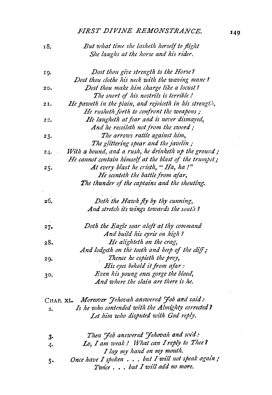*FIRST DIVINE REMONSTRANCE.* **149** 

| 18.   | But what time she lasheth herself to flight            |
|-------|--------------------------------------------------------|
|       | She laughs at the horse and his rider.                 |
| 19.   | Dost thou give strength to the Horse?                  |
|       | Dost thou clothe his neck with the waving manc?        |
| 20.   | Dost thou make him charge like a locust?               |
|       | The snort of his nostrils is terrible!                 |
| 21.   | He paweth in the plain, and rejoiceth in his strength, |
|       | He rusheth forth to confront the weapons;              |
| 22.   | He laugheth at fear and is never dismayed,             |
|       | And he recoileth not from the sword;                   |
| 23.   | The arrows rattle against him,                         |
|       | The glittering spear and the javelin;                  |
| 24.   | With a bound, and a rush, he drinketh up the ground;   |
|       | He cannot contain himself at the blast of the trumpet; |
| 25.   | At every blast he crieth, "Ha, ha!"                    |
|       | He scenteth the battle from afar,                      |
|       | The thunder of the captains and the shouting.          |
| 26.   | Doth the Hawk fly by thy cunning,                      |
|       | And stretch its wings towards the south?               |
| 27.   | Doth the Eagle soar aloft at thy command               |
|       | And build his eyrie on high?                           |
| 28.   | He alighteth on the crag,                              |
|       | And lodgeth on the tooth and keep of the cliff;        |
| 29.   | Thence he espieth the prey,                            |
|       | His eyes behold it from afar:                          |
| 30.   | Even his young ones gorge the blood,                   |
|       | And where the slain are there is he.                   |
|       | CHAP. XL. Moreover Jehovah answered Job and said:      |
| 2.    | Is he who contended with the Almighty corrected?       |
|       | Let him who disputed with God reply.                   |
|       | Then Job answered Jehovah and scid:                    |
| $3-$  | Lo, I am weak! What can I reply to Thee?               |
| 4.    | I lay my hand on my mouth.                             |
|       | Once have I spoken but I will not speak again;         |
| $5 -$ | Twice but I will add no more.                          |
|       |                                                        |

 $\sim 10$ 

 $\sim 10^{-11}$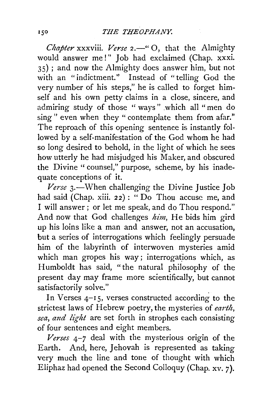*Chapter* xxxviii. *Verse* 2.—" O, that the Almighty would answer me!" Job had exclaimed (Chap. xxxi. 35) ; and now the Almighty does answer him, but not with an "indictment." Instead of "telling God the very number of his steps," he is called to forget himself and his own petty claims in a close, sincere, and admiring study of those "ways" .which all "men do sing " even when they " contemplate them from afar." The reproach of this opening sentence is instantly followed by a self-manifestation of the God whom he had so long desired to behold, in the light of which he sees how utterly he had misjudged his Maker, and obscured the Divine " counsel," purpose, scheme, by his inadequate conceptions of it.

*Verse* 3.-When challenging the Divine Justice Job had said (Chap. xiii. 22) : "Do Thou accuse me, and I will answer; or let me speak, and do Thou respond." And now that God challenges *him,* He bids him gird up his loins like a man and answer, not an accusation, but a series of interrogations which feelingly persuade him of the labyrinth of interwoven mysteries amid which man gropes his way; interrogations which, as Humboldt has said, "the natural philosophy of the present day may frame more scientifically, but cannot satisfactorily solve."

In Verses 4-15, verses constructed according to the strictest laws of Hebrew poetry, the mysteries of *earth*, sea, and light are set forth in strophes each consisting of four sentences and eight members.

*Verses* 4-7 deal with the mysterious origin of the Earth. And, here, Jehovah is represented as taking very much the line and tone of thought with which Eliphaz had opened the Second Colloquy (Chap. xv. 7).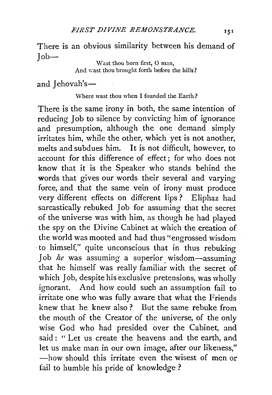There is an obvious similarity between his demand of  $Job-$ 

Wast thou born first, O man, And wast thou brought forth before the hills?

and Jehovah's- $-$ 

#### Where wast thou when I founded the Earth?

There is the same irony in both, the same intention of reducing Job to silence by convicting him of ignorance and presumption, although the one demand simply irritates him, while the other, which yet is not another, melts and subdues him. It is not difficult, however, to account for this difference of effect; for who does not know that it is the Speaker who stands behind the words that gives our words their several and varying force, and that the same vein of irony must produce very different effects on different lips ? Eliphaz had sarcastically rebuked Job for assuming that the secret of the universe was with him, as though he had played the spy on the Divine Cabinet at which the creation of the world was mooted and had thus "engrossed wisdom ·to himself," quite unconscious that in thus rebuking Job *he* was assuming a superior wisdom-assuming that he himself was really familiar with the secret of which Job, despite his exclusive pretensions, was wholly ignorant. And how could such an assumption fail to irritate one who was fully aware that what the Friends knew that he knew also ? But the same rebuke from the mouth of the Creator of the universe; of the only wise God who had presided over the Cabinet, and said : " Let us create the heavens and the earth, and let us make man in our own image, after our likeness," -how should this irritate even the wisest of men or fail to humble his pride of knowledge?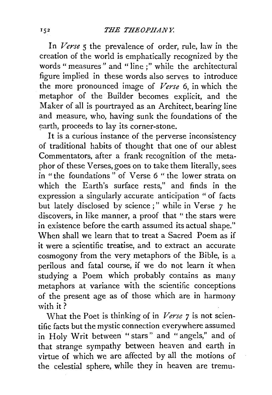In *Verse* 5 the prevalence of order, rule, law in the creation of the world is emphatically recognized by the words" measures" and "line;" while the architectural figure implied in these words also serves to introduce the more pronounced image of *Verse* 6, in which the metaphor of the Builder becomes explicit, and the Maker of all is pourtrayed as an Architect, bearing line and measure, who, having sunk the foundations of the earth, proceeds to lay its corner-stone.

It is a curious instance of the perverse inconsistency of traditional habits of thought that one of our ablest Commentators, after a frank recognition of the metaphor of these Verses, goes on to take them literally, sees in "the foundations " of Verse 6 " the lower strata on which the Earth's surface rests," and finds in the expression a singularly accurate anticipation "of facts but lately disclosed by science;" while in Verse 7 he discovers, in like manner, a proof that " the stars were in existence before the earth assumed its actual shape." When shall we learn that to treat a Sacred Poem as if it were a scientific treatise, and to extract an accurate cosmogony from the very metaphors of the Bible, is a perilous and fatal course, if we do not learn it when studying a Poem which probably contains as many metaphors at variance with the scientific conceptions of the present age as of those which are in harmony with it?

What the Poet is thinking of in *Verse* 7 is not scientific facts but the mystic connection everywhere assumed in Holy Writ between " stars" and " angels," and of that strange sympathy between heaven and earth in virtue of which we are affected by all the motions of the celestial sphere, while they in heaven are tremu-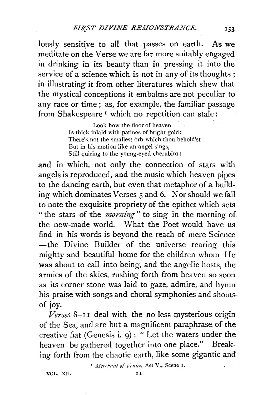lously sensitive to all that passes on earth. As we meditate on the Verse we are far more suitably engaged in drinking in its beauty than in pressing it into the service of a science which is not in any of its thoughts; in illustrating it from other literatures which shew that the mystical conceptions it embalms are not peculiar to any race or time ; as, for example, the familiar passage from Shakespeare<sup>1</sup> which no repetition can stale:

> Look how the floor of heaven Is thick inlaid with patines of bright gold: There's not the smallest orb which thou behold'st But in his motion like an angel sings, Still quiring to the young-eyed cherubim:

and in which, not only the connection of stars with angels is reproduced, aud the music which heaven pipes to the dancing earth, but even that metaphor of a building which dominates Verses 5 and 6. Nor should we fail to note the exquisite propriety of the epithet which sets "the stars of the *morning"* to sing in the morning of the new-made world. What the Poet would have us find in his words is beyond the reach of mere Science -the Divine Builder of the universe rearing this mighty and beautiful home for the children whom He was about to call into being, and the angelic hosts, the armies of the skies, rushing forth from heaven so soon as its corner stone was laid to gaze, admire, and hymn his praise with songs and choral symphonies and shoutsof joy.

 *deal with the no less mysterious origin* of the Sea, and are but a magnificent paraphrase of the creative fiat (Genesis i.  $q$ ) : " Let the waters under the heaven be gathered together into one place." Break-. ing forth from the chaotic earth, like some gigantic and

<sup>I</sup> Merchant of Venice, Act V., Scene I.

VOL. XII. II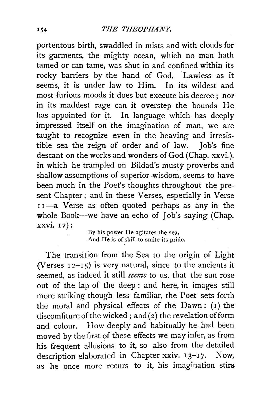portentous birth, swaddled in mists and with clouds for its garments, the mighty ocean, which no man hath tamed or can tame, was shut in and confined within its rocky barriers by the hand of God. Lawless as it seems, it is under law to Him. In its wildest and most furious moods it does but execute his decree; nor in its maddest rage can it overstep the bounds He has appointed for it. In language which has deeply impressed itself on the imagination of man, we are taught to recognize even in the heaving and irresistible sea the reign of order and of law. Job's fine descant on the works and wonders of God (Chap. xxvi.), in which he trampled on Bildad's musty proverbs and shallow assumptions of superior .wisdom, seems to have been much in the Poet's thoughts throughout the present Chapter ; and in these Verses, especially in Verse II-a Verse as often quoted perhaps as any in the whole Book--we have an echo of Job's saying (Chap. xxvi. 12):

By his power He agitates the sea, And He is of skill to smite its pride.

The transition from the Sea to the origin of Light (Verses  $12-15$ ) is very natural, since to the ancients it seemed, as indeed it still *semzs* to us, that the sun rose out of the lap of the deep : and here, in images still more striking though less familiar, the Poet sets forth the moral and physical effects of the  $Dawn: (I)$  the discomfiture of the wicked; and  $(2)$  the revelation of form and colour. How deeply and habitually he. had been moved by the first of these effects we may infer, as from his frequent allusions to it, so also from the detailed description elaborated in Chapter xxiv. 13-17. Now, as he once more recurs to it, his imagination stirs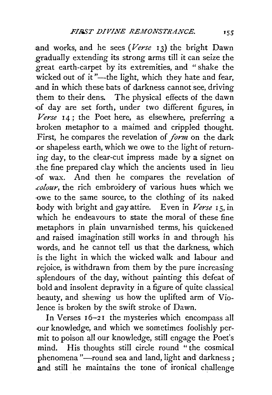and works, and he sees *(Verse* 13) the bright Dawn gradually extending its strong arms till it can seize the great earth-carpet by its extremities, and " shake the wicked out of it"-the light, which they hate and fear, and in which these bats of darkness cannot see, driving them to their dens. The physical effects of the dawn -of day are set forth, under two different figures, in Verse 14; the Poet here, as elsewhere, preferring a broken metaphor to a maimed and crippled thought. First, he compares the revelation of *form* on the dark or shapeless earth, which we owe to the light of returning day, to the clear-cut impress made by a signet on .the fine prepared clay which the ancients used in lieu ·of wax. And then he compares the revelation of *.colour,* the rich embroidery of various hues which we -owe to the same source, to the clothing of its naked body with bright and gay attire. Even in *Verse* 15, in which he endeavours to state the moral of these fine metaphors in plain unvarnished terms, his quickened .and raised imagination still works in and through his words, and he cannot tell us that the darkness, which is the light in which the wicked walk and labour and rejoice, is withdrawn from them by the pure increasing splendours of the day, without painting this defeat of bold and insolent depravity in a figure of quite classical .beauty, and shewing us how the uplifted arm of Vio*lence* is broken by the swift stroke of Dawn.

In Verses 16-21 the mysteries which encompass all our knowledge, and which we sometimes foolishly permit to poison all our knowledge, still engage the Poet's mind. His thoughts still circle round " the cosmical phenomena "-round sea and land, light and darkness; and still he maintains the tone of ironical challenge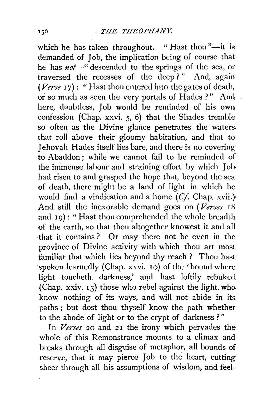which he has taken throughout. "Hast thou"—it is: demanded of Job, the implication being of course that he has *not*-" descended to the springs of the sea, or traversed the recesses of the deep?" And, again  $(Verse 17)$ : "Hast thou entered into the gates of death, or so much as seen the very portals of Hades ? " And here, doubtless, Job would be reminded of his own confession (Chap. xxvi. 5, 6) that the Shades tremble so often as the Divine glance penetrates the waters. that roll above their gloomy habitation, and that to Jehovah Hades itself lies bare, and there is no covering to Abaddon ; while we cannot fail to be reminded of the immense labour and straining effort by which Job. had risen to and grasped the hope that, beyond the sea of death, there might be a land of light in which he would find a vindication and a home *(Cf.* Chap. xvii.} And still the inexorable demand goes on *(Verses* 18 and 19): "Hast thou comprehended the whole breadth of the earth, so that thou altogether knowest it and all that it contains? Or may there not be even in the province of Divine activity with which thou art most familiar that which lies beyond thy reach ? Thou hast spoken learnedly (Chap. xxvi. 10) of the 'bound where light toucheth darkness,' and hast loftily rebuked (Chap.  $xxiv. 13$ ) those who rebel against the light, who know nothing of its ways, and will not abide in its. paths ; but dost thou thyself know the path whether to the abode of light or to the crypt of darkness ? "

In *Verses* 20 and 21 the irony which pervades the whole of this Remonstrance mounts to a climax and breaks through all disguise of metaphor, all bounds of reserve, that it may pierce Job to the heart, cutting sheer through all his assumptions of wisdom, and feel-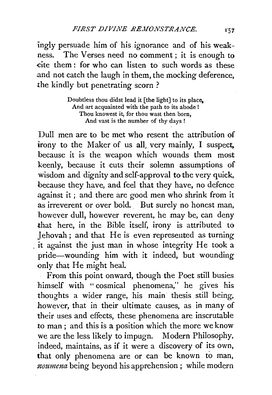ingly persuade him of his ignorance and of his weakness. The Verses need no comment ; it is enough to  $cite$  them: for who can listen to such words as these and not catch the laugh in them, the mocking deference, the kindly but penetrating scorn ?

> Doubtless thou didst lead it [the light] to its place, And art acquainted with the path to its abode ! Thou knowest it, for thou wast then born, And vast is the number of thy days !

Dull men are to be met who resent the attribution of irony to the Maker of us all, very mainly, I suspect, because it is the weapon which wounds them most keenly, because it cuts their solemn assumptions of wisdom and dignity and self-approval to the very quick, because they have, and feel that they have, no defence against it; and there are good men who shrink from it as irreverent or over bold. But surely no honest man, however dull, however reverent, he may be, can deny that here, in the Bible itself, irony is attributed to Jehovah; and that He is even represented as turning . it against the just man in whose integrity He took a pride-wounding him with it indeed, but wounding only that He might heal.

From this point onward, though the Poet still busies himself with " cosmical phenomena," he gives his thoughts a wider range, his main thesis still being, however, that in their ultimate causes, as in many of their uses and effects, these phenomena are inscrutable to man; and this is a position which the more we know we are the less likely to impugn. Modern Philosophy, indeed, maintains, as if it were a discovery of its own, that only phenomena are or can be known to man, noumena being beyond his apprehension; while modern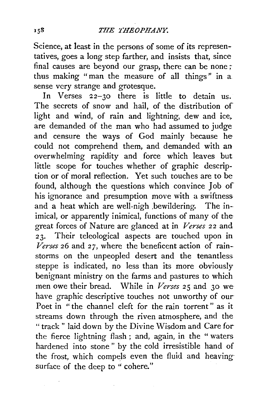Science, at least in the persons of some of its representatives, goes a long step farther, and insists that, since final causes are beyond our grasp, there can be none ; thus making "man the measure of all things" in a sense very strange and grotesque.

In Verses 22-30 there is little to detain us. The secrets of snow and hail, of the distribution of light and wind, of rain and lightning, dew and ice, are demanded of the man who had assumed to judge and censure the ways of God mainly because he could not comprehend them, and demanded with an overwhelming rapidity and force which leaves but little scope for touches whether of graphic description or of moral reflection. Yet such touches are to be found, although the questions which convince Job of his ignorance and presumption move with a swiftness and a heat which are well-nigh .bewildering. The in- imical, or apparently inimical, functions of many of the great forces of Nature are glanced at in *Verses* 22 and 23. Their teleological aspects are touched upon in *Verses* 26 and *27,* where the beneficent action of rain- storms on the unpeopled desert and the tenantless steppe is indicated, no less than its more obviously benignant ministry on the farms and pastures to which men owe their bread. While in *Verses* 25 and 30 wehave graphic descriptive touches not unworthy of our-Poet in "the channel cleft for the rain torrent" as it streams down through the riven atmosphere, and the " track " laid down by the Divine Wisdom and Care forthe fierce lightning flash ; and, again, in the "waters hardened into stone " by the cold irresistible hand of the frost, which compels even the fluid and heavingsurface of the deep to " cohere."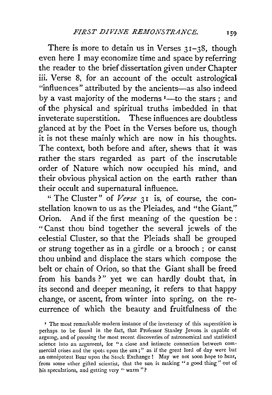There is more to detain us in Verses  $31-38$ , though even here I may economize time and space by referring the reader to the brief dissertation given under Chapter iii. Verse 8, for an account of the occult astrological "influences" attributed by the ancients-as also indeed by a vast majority of the moderns  $I$ —to the stars ; and of the physical and spiritual truths imbedded in that inveterate superstition. These influences are doubtless glanced at by the Poet in the Verses before us, though it is not these mainly which are now in his thoughts. The context, both before and after, shews that it was rather the stars regarded as part of the inscrutable order of Nature which now occupied his mind, and their obvious physical action on the earth rather than their occult and supernatural influence.

" The Cluster" of *Verse* 31 is, of course, the constellation known to us as the Pleiades, and "the Giant," Orion. And if the first meaning of the question be : " Canst thou bind together the several jewels of the celestial Cluster, so that the Pleiads shall be grouped or strung together as in a girdle or a brooch ; or canst thou unbind and displace the stars which compose the belt or chain of Orion, so that the Giant shall be freed from his bands?" yet we can hardly doubt that, in its second and deeper meaning, it refers to that happy change, or ascent, from winter into spring, on the recurrence of which the beauty and fruitfulness of the

' The most remarkable modern instance of the inveteracy of this superstition is perhaps to be found in the fact, that Professor Stanley Jevons is capable of argu:ng, and of pressing the most recent discoveries of astronomical and statistical science into an argument, for "a close and intimate connection between cmn· mercial crises and the spots upon the sun;" as if the great lord of day were but an omnipotent Bear upon the Stock Exchange! May we not soon hope to hear, from some other gifted scientist, that the sun is making "a good thing" out of his speculations, and getting very " warm"?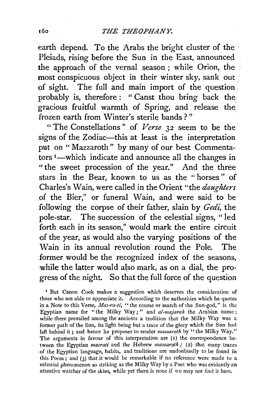earth depend. To the Arabs the bright cluster of the  $\cdot$ Pleiads, rising before the Sun in the East, announced the approach of the vernal season ; while Orion, the most conspicuous object in their winter sky, sank out of sight. The full and main import of the question . probably is, therefore : " Canst thou bring back the gracious fruitful warmth of Spring, and release the frozen earth from \Vinter's sterile bands ? "

"The Constellations" of *Verse* 32 seem to be the· signs of the Zodiac-this at least is the interpretation put on "Mazzaroth" by many of our best Commentators 1-which indicate and announce all the changes in " the sweet procession of the year." And the three stars in the Bear, known to us as the "horses" of Charles's Wain, were called in the Orient "the *daughters*  of the Bier," or funeral Wain, and were said to be following the corpse of their father, slain by *Gedi,* the pole-star. The succession of the celestial signs, " led forth each in its season," would mark the entire circuit of the year, as would also the varying positions of the Wain in its annual revolution round the Pole. The .former would be the recognized index of the seasons, while the latter would also mark, as on a dial, the progress of the night. So that the full force of the question

' But Canon Cook makes a suggestion which deserves the consideration of those who are able to appreciate it. According to the authorities which he quotes in a Note to this Verse, *Mas-ra-ti,* "the course or march of the Sun-god," is the Egyptian name for "the Milky Way;" and *al-majarah* the Arabian name; while there prevailed among the ancients a tradition that the Milky Way was a former path of the Sun, its light being but a trace of the glory which the Sun had left behind it; and hence he proposes to render *mazzaroth* by "the Milky Way." The arguments in favour of this interpretation are (1) the correspondence between the Egyptian *masrati* and the Hebrew *mazzaroth;* (2) that many traces of the Egyptian language, habits, and traditions are undoubtedly to be found in this Poem; and (3) that it would be remarkable if no reference were made to a. celestial phenomenon so striking as the Milky Way by a Poet who was evidently an attentive watcher of the skies, while yet there is none if we may not find it here.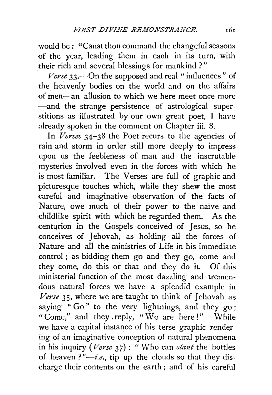would be: "Canst thou command the changeful seasons of the year, leading them in each in its turn, with their rich and several blessings for mankind ? "

*Verse* 33.—On the supposed and real "influences" of the heavenly bodies on the world and on the affairs of men-an allusion to which we here meet once more -and the strange persistence of astrological superstitions as illustrated by our own great poet, I have already spoken in the comment on Chapter iii. 8.

In *Verses* 34-38 the Poet recurs to the agencies of rain and storm in order still more deeply to impress upon us the feebleness of man and the inscrutable mysteries involved even in the forces with which he is most familiar. The Verses are full of graphic and picturesque touches which, while they shew the most careful and imaginative observation of the facts of Nature, owe much of their power to the naïve and childlike spirit with which he regarded them. As the centurion in the Gospels conceived of Jesus, so he conceives of Jehovah, as holding all the forces of Nature and all the ministries of Life in his immediate control ; as bidding them go and they go, come and they come, do this or that and they do it. Of this ministerial function of the most dazzling and tremendous natural forces we have a splendid example in Verse 35, where we are taught to think of Jehovah as saying "Go" to the very lightnings, and they go; "Come," and they reply, "We are here!" While we have a capital instance of his terse graphic rendering of an imaginative conception of natural phenomena in his inquiry *(Verse 37)* : "Who can *slant* the bottles of heaven?" $-i.e.,$  tip up the clouds so that they discharge their contents on the earth ; and of his careful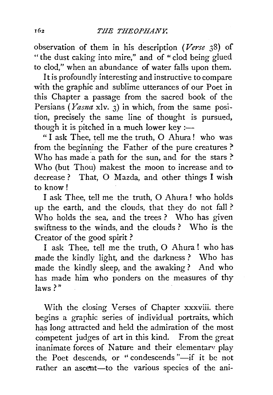observation of them in his description *(Verse* 38) of "the dust caking into mire," and of "clod being glued to clod," when an abundance of water falls upon them.

It is profoundly interesting and instructive to compare with the graphic and sublime utterances of our Poet in this Chapter a passage from the sacred book of the Persians ( *Yasna* xlv. 3) in which, from the same position, precisely the same line of thought is pursued, though it is pitched in a much lower key :-

"I ask Thee, tell me the truth,  $O$  Ahura! who was from the beginning the Father of the pure creatures ? Who has made a path for the sun, and for the stars ? Who (but Thou) makest the moon to increase and to decrease ? That, 0 Mazda, and other things I wish to know!

I ask Thee, tell me the truth, 0 Ahura ! who holds up the earth, and the clouds, that they do not fall ? Who holds the sea, and the trees ? Who has given swiftness *to* the winds, and the clouds ? Who is the Creator of the good spirit ?

I ask Thee, tell me the truth, 0 Ahura! who has made the kindly light, and the darkness ? Who has made the kindly sleep, and the awaking? And who has made him who ponders on the measures of thy laws?"

With the closing Verses of Chapter xxxviii. there begins a graphic series of individual portraits, which has long attracted and held the admiration of the most competent judges of art in this kind. From the great inanimate forces of Nature and their elementarv play the Poet descends, or "condescends "-if it be not rather an ascent-to the various species of the ani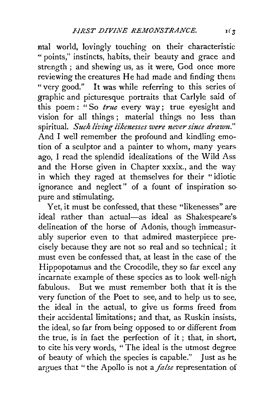mal world, lovingly touching on their characteristic "points," instincts, habits, their beauty and grace and strength ; and shewing us, as it were, God once more reviewing the creatures He had made and finding them "very good." It was while referring to this series of graphic and picturesque portraits that Carlyle said of this poem : "So *true* every way; true eyesight and vision for all things ; material things no less than spiritual. Such living likenesses were never since drawn." And I well remember the profound and kindling emotion of a sculptor and a painter to whom, many years. ago, I read the splendid idealizations of the Wild Ass and the Horse given in Chapter xxxix., and the way in which they raged at themselves for their "idiotic ignorance and neglect" of a fount of inspiration so· pure and stimulating.

Yet, it must be confessed, that these "likenesses" are ideal rather than actual-as ideal as Shakespeare's delineation of the horse of Adonis, though immeasurably superior even to that admired masterpiece precisely because they are not so real and so technical; it must even be confessed that, at least in the case of the Hippopotamus and the Crocodile, they so far excel any incarnate example of these species as to look well-nigh fabulous. But we must remember both that it is the very function of the Poet to see, and to help us to see, the ideal in the actual, to give us forms freed from their accidental limitations; and that, as Ruskin insists, the ideal, so far from being opposed to or different from the true, is in fact the perfection of it ; that, in short, to cite his very words, " The ideal is the utmost degree of beauty of which the species is capable." Just as he argues that "the Apollo is not a *false* representation of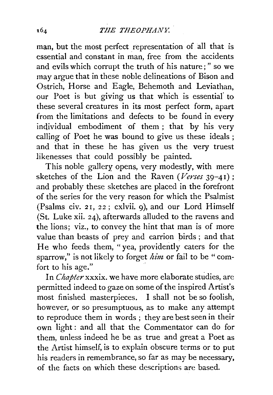man, but the most perfect representation of all that is essential and constant in man, free from the accidents and evils which corrupt the truth of his nature; " so we may argue that in these noble delineations of Bison and Ostrich, Horse and Eagle, Behemoth and Leviathan, our Poet is but giving us that which is essential to these several creatures in its most perfect form, apart from the limitations and defects to be found in every individual embodiment of them ; that by his very calling of Poet he was bound to give us these ideals ; and that in these he has given us the very truest likenesses that could possibly be painted.

This noble gallery opens, very modestly, with mere sketches of the Lion and the Raven *(Verses* 39-41); and probably these sketches are placed in the forefront of the series for the very reason for which the Psalmist (Psalms civ. 21, 22; cxlvii. 9), and our Lord Himself (St. Luke xii. 24), afterwards alluded to the ravens and the lions; viz., to convey the hint that man is of more value than beasts of prey and carrion birds ; and that He who feeds them, "yea, providently caters for the sparrow," is not likely to forget *him* or fail to be "comfort to his age."

In *Chapter* xxxix. we have more elaborate studies, are permitted indeed to gaze on some of the inspired Artist's most finished masterpieces. I shall not be so foolish, however, or so presumptuous, as to make any attempt to reproduce them in words ; they are best seen in their own light : and all that the Commentator can do for them, unless indeed he be as true and great a Poet as the Artist himself, is to explain obscure terms or to put his readers in remembrance, so far as may be necessary, of the facts on which these descriptions are based.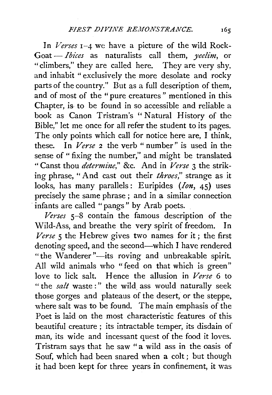In *Verses* 1-4 we have a picture of the wild Rock-Goat - *Ibices* as naturalists call them, *yeelim*, or "climbers," they are called here. They are very shy, and inhabit "exclusively the more desolate and rocky parts of the country." But as a full description of them, and of most of the "pure creatures" mentioned in this. Chapter, is to be found in so accessible and reliable a book as Canon Tristram's "Natural History of the Bible," let me once for all refer the student to its pages. The only points which call for notice here are, I think, these. In *Verse* 2 the verb "number" is used in the sense of " fixing the number," and might be translated "Canst thou *determi1ze,"* &c. And in *Verse* 3 the striking phrase, "And cast out their *throes,"* strange as it looks, has many parallels: Euripides *(Ion,* 45) uses precisely the same phrase; and in a similar connection infants are called "pangs" by Arab poets.

*Verses* 5-8 contain the famous description of the Wild-Ass, and breathe the very spirit of freedom. In *Verse* 5 the Hebrew gives two names for it; the first denoting speed, and the second-which I have rendered "the Wanderer"---its roving and unbreakable spirit. All wild animals who "feed on that which is green" love to lick salt. Hence the allusion in *Verse* 6 to " the *salt* waste:" the wild ass would naturally seek those gorges and plateaus of the desert, or the steppe. where salt was to be found. The main emphasis of the Poet is laid on the most characteristic features of this beautiful creature ; its intractable temper, its disdain of man, its wide and incessant quest of the food it loves. Tristram says that he saw "a wild ass in the oasis of Souf, which had been snared when a colt ; but though it had been kept for three years in confinement, it was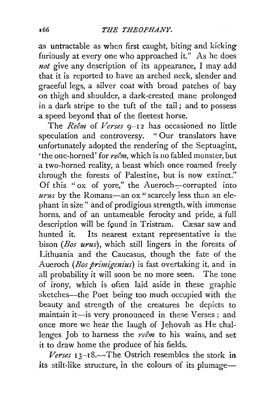.as untractable as when first caught, biting and kicking furiously at every one who approached it." As he does *not* give any description of its appearance, I may add that it is reported to have an arched neck, slender and graceful legs, a silver coat with broad patches of bay on thigh and shoulder, a dark-crested mane prolonged in a dark stripe to the tuft of the tail; and to possess a speed beyond that of the fleetest horse.

The *Reem* of *Verses* 9-12 has occasioned no little speculation and controversy. " Our translators have unfortunately adopted the rendering of the Septuagint, 'the one-horned' for *re8m,* which is no fabled monster, but a two-horned reality, a beast which once roamed freely through the forests of Palestine, but is now extinct." Of this "ox of yore," the Aueroch $-$ corrupted into *urus* by the Romans-an ox " scarcely less than an elephant in size" and of prodigious strength, with immense horns, and of an untameable ferocity and pride, a full description will be found in Tristram. Cæsar saw and hunted it. Its nearest extant representative is the bison *(Bos urus),* which still lingers in the forests of Lithuania and the Caucasus, though the fate of the Aueroch *(Bos primigenius)* is fast overtaking it, and in all probability it will soon be no more seen. The tone of irony, which is often laid aside in these graphic sketches-the Poet being too much occupied with the beauty and strength of the creatures he depicts to maintain it-is very pronounced in these Verses; and once more we hear the laugh of Jehovah as He challenges Job to harness the  $re\hat{e}m$  to his wains, and set it to draw home the produce of his fields.

 $I3-I8$ *.-The Ostrich resembles the stork in* its stilt-like structure, in the colours of its plumage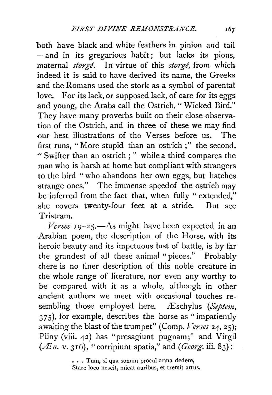both have black and white feathers in pinion and tail -and in its gregarious habit; but lacks its pious, maternal *storge*. In virtue of this *storge*, from which indeed it is said to have derived its name, the Greeks and the Romans used the stork as a symbol of parental love. For its lack, or supposed lack, of care for its eggs and young, the Arabs call the Ostrich, "Wicked Bird." They have many proverbs built on their close observation of the Ostrich, and in three of these we may find our best illustrations of the Verses before us. The first runs, " More stupid than an ostrich ; " the second, "' Swifter than an ostrich ; " while a third compares the man who is harsh at home but compliant with strangers to the bird "who abandons her own eggs, but hatches strange ones." The immense speedof the ostrich may be inferred from the fact that, when fully " extended." she covers twenty-four feet at a stride. But see Tristram.

 *19-25.—As might have been expected in an* Arabian poem, the description. of the Horse, with its heroic beauty and its impetuous lust of battle, is by far the grandest of all these animal "pieces." Probably there is no finer description of this noble creature in the whole range of literature, nor even any worthy to be compared with it as a whole, although in other ancient authors we meet with occasional touches resembling those employed here. Æschylus *(Septem,* 375), for example, describes the horse as "impatiently awaiting the blast of the trumpet" (Comp. Verses 24, 25); Pliny (viii. 42) has "presagiunt pugnam;" and Virgil  $(\mathscr{F}n. v. 316)$ , "corripiunt spatia," and *(Georg*. iii. 83):

> ••. Tum, si qua sonum procul arma dedere, Stare loco nescit, micat auribus, et tremit artus.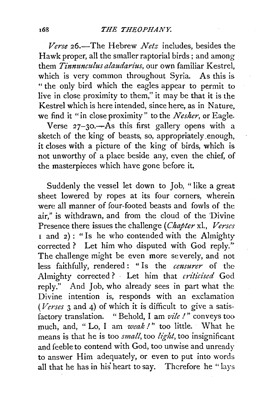*Verse* 26.-The Hebrew *Netz* includes, besides the Hawk proper, all the smaller raptorial birds; and among them *Tinnunculus alaudarius,* our own familiar Kestrel, which is very common throughout Syria. As this is " the only bird which the eagles appear to permit to live in close proximity to them," it may be that it is the Kestrel which is here intended, since here, as in Nature, we find it "in close proximity" to the *Nesher,* or Eagle.

Verse  $27-30.$  As this first gallery opens with a sketch of the king of beasts, so, appropriately enough, it closes with a picture of the king of birds, which is not unworthy of a place beside any, even the chief, of the masterpieces which have gone before it.

Suddenly the vessel let down to Job, " like a great sheet lowered by ropes at its four corners, wherein were all manner of four-footed beasts and fowls of the air," is withdrawn, and from the cloud of the Divine Presence there issues the challenge *(Chapter* xl., *Verses*   $I$  and  $2)$ : "Is he who contended with the Almighty corrected? Let him who disputed with God reply." The challenge might be even more severely, and not less faithfully, rendered : " Is the *censurer* of the Almighty corrected? · Let him that *criticised* God reply." And Job, who already sees in part what the Divine intention is, responds with an exclamation *(Verses* 3 and 4) of which it is difficult to give a satisfactory translation. "Behold, I am *vile I"* conveys too much, and, "Lo, I am weak!" too little. What he means is that he is too *small,* too *ligltt,* too insignificant and feeble to contend with God, too unwise and unready to answer Him adequately, or even to put into words all that he has in his heart to say. Therefore he "lays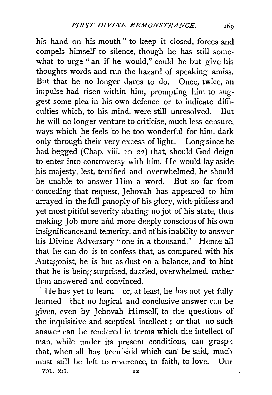his hand on his mouth " to keep it closed, forces and compels himself to silence, though he has still somewhat to urge " an if he would," could he but give his thoughts words and run the hazard of speaking amiss. But that he no longer dares to do. Once, twice, an impulse had risen within him, "prompting him to suggest some plea in his own defence or to indicate difficulties which, to his mind, were still unresolved. But he will no longer venture to criticise, much less censure, ways which he feels to be too wonderful for him, dark only through their very excess of light. Long since he had begged (Chap. xiii. 20-22) that, should God deign to enter into controversy with him, He would lay aside his majesty, lest, terrified and overwhelmed, he should be unable to answer Him a word. But so far from conceding that request, Jehovah has appeared to him arrayed in the full panoply of his glory, with pitiless and yet most pitiful severity abating no jot of his state, thus making Job more and more deeply conscious of his own insignificance and temerity, and of his inability to answer his Divine Adversary" one in a thousand.'' Hence all that he can do is to confess that, as compared with his Antagonist, he is but as dust on a balance, and to hint that he is being surprised, dazzled, overwhelmed, rather than answered and convinced.

He has yet to learn—or, at least, he has not yet fully learned—that no logical and conclusive answer can be given, even by Jehovah Himself, to the questions of the inquisitive and sceptical intellect *;* or that no such answer can be rendered in terms which the intellect of man, while under its present conditions, can grasp : that, when all has been said which can be said, much must still be left to reverence, to faith, to love. Our VOL. xn. 12